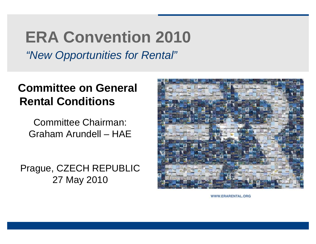### **ERA Convention 2010**

*"New Opportunities for Rental"*

#### **Committee on General Rental Conditions**

Committee Chairman: Graham Arundell – HAE

Prague, CZECH REPUBLIC 27 May 2010



WWW.ERARENTAL.ORG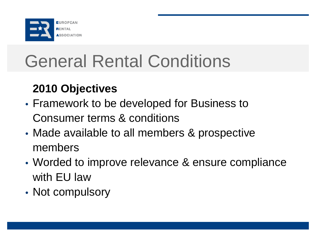

### **2010 Objectives**

- Framework to be developed for Business to Consumer terms & conditions
- Made available to all members & prospective members
- Worded to improve relevance & ensure compliance with EU law
- Not compulsory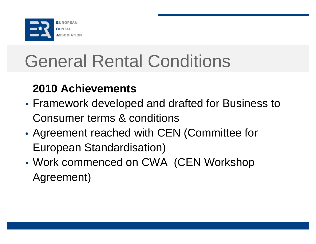

#### **2010 Achievements**

- Framework developed and drafted for Business to Consumer terms & conditions
- Agreement reached with CEN (Committee for European Standardisation)
- Work commenced on CWA (CEN Workshop Agreement)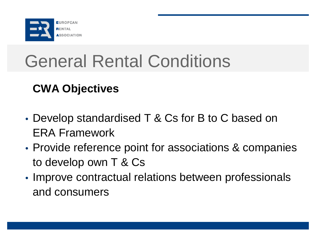

### **CWA Objectives**

- Develop standardised T & Cs for B to C based on ERA Framework
- Provide reference point for associations & companies to develop own T & Cs
- Improve contractual relations between professionals and consumers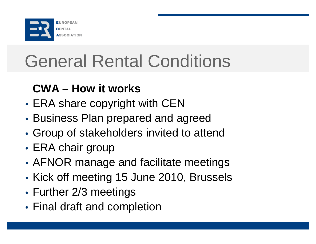

#### **CWA – How it works**

- ERA share copyright with CEN
- Business Plan prepared and agreed
- Group of stakeholders invited to attend
- ERA chair group
- AFNOR manage and facilitate meetings
- Kick off meeting 15 June 2010, Brussels
- Further 2/3 meetings
- Final draft and completion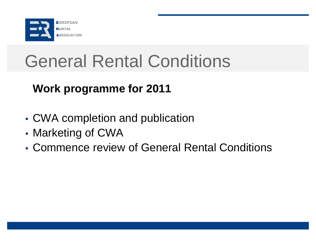

### **Work programme for 2011**

- CWA completion and publication
- Marketing of CWA
- Commence review of General Rental Conditions